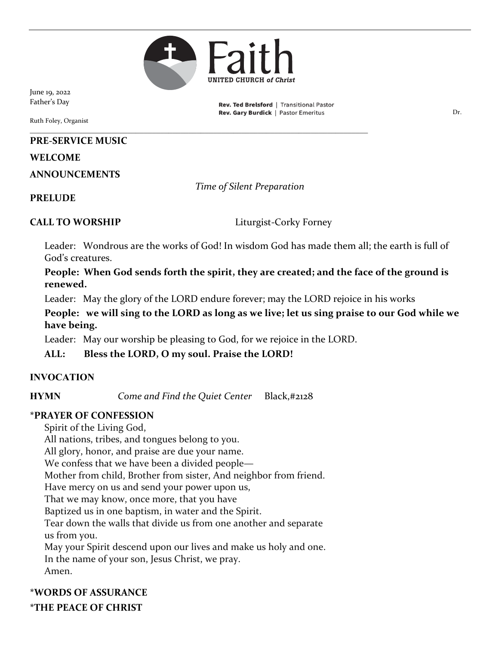

June 19, 2022 Father's Day

Ruth Foley, Organist

#### **PRE-SERVICE MUSIC**

#### **WELCOME**

**ANNOUNCEMENTS**

*Time of Silent Preparation*

#### **PRELUDE**

**CALL TO WORSHIP** Liturgist-Corky Forney

Rev. Ted Brelsford | Transitional Pastor

Leader: Wondrous are the works of God! In wisdom God has made them all; the earth is full of God's creatures.

**People: When God sends forth the spirit, they are created; and the face of the ground is renewed.**

Leader: May the glory of the LORD endure forever; may the LORD rejoice in his works

**People: we will sing to the LORD as long as we live; let us sing praise to our God while we have being.**

Leader: May our worship be pleasing to God, for we rejoice in the LORD.

\_\_\_\_\_\_\_\_\_\_\_\_\_\_\_\_\_\_\_\_\_\_\_\_\_\_\_\_\_\_\_\_\_\_\_\_\_\_\_\_\_\_\_\_\_\_\_\_\_\_\_\_\_\_\_\_\_\_\_\_\_\_\_\_\_\_\_\_\_\_\_\_\_\_\_\_\_\_\_\_\_\_\_

**ALL: Bless the LORD, O my soul. Praise the LORD!**

#### **INVOCATION**

**HYMN** *Come and Find the Quiet Center* Black,#2128

#### **\*PRAYER OF CONFESSION**

Spirit of the Living God, All nations, tribes, and tongues belong to you. All glory, honor, and praise are due your name. We confess that we have been a divided people— Mother from child, Brother from sister, And neighbor from friend. Have mercy on us and send your power upon us, That we may know, once more, that you have Baptized us in one baptism, in water and the Spirit. Tear down the walls that divide us from one another and separate us from you. May your Spirit descend upon our lives and make us holy and one. In the name of your son, Jesus Christ, we pray. Amen.

**\*WORDS OF ASSURANCE \*THE PEACE OF CHRIST**

**Rev. Gary Burdick** | Pastor Emeritus **No. 1876** 1987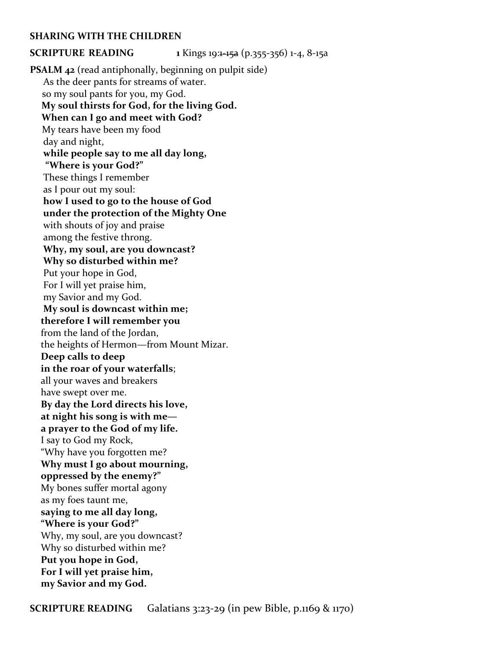#### **SHARING WITH THE CHILDREN**

**SCRIPTURE READING 1** Kings 19:1-15a (p.355-356) 1-4, 8-15a

**PSALM 42** (read antiphonally, beginning on pulpit side) As the deer pants for streams of water. so my soul pants for you, my God.  **My soul thirsts for God, for the living God. When can I go and meet with God?** My tears have been my food day and night, **while people say to me all day long, "Where is your God?"** These things I remember as I pour out my soul: **how I used to go to the house of God under the protection of the Mighty One** with shouts of joy and praise among the festive throng. **Why, my soul, are you downcast? Why so disturbed within me?** Put your hope in God, For I will yet praise him, my Savior and my God. **My soul is downcast within me; therefore I will remember you** from the land of the Jordan, the heights of Hermon—from Mount Mizar. **Deep calls to deep in the roar of your waterfalls**; all your waves and breakers have swept over me. **By day the Lord directs his love, at night his song is with me a prayer to the God of my life.** I say to God my Rock, "Why have you forgotten me? **Why must I go about mourning, oppressed by the enemy?"** My bones suffer mortal agony as my foes taunt me, **saying to me all day long, "Where is your God?"** Why, my soul, are you downcast? Why so disturbed within me? **Put you hope in God, For I will yet praise him, my Savior and my God.**